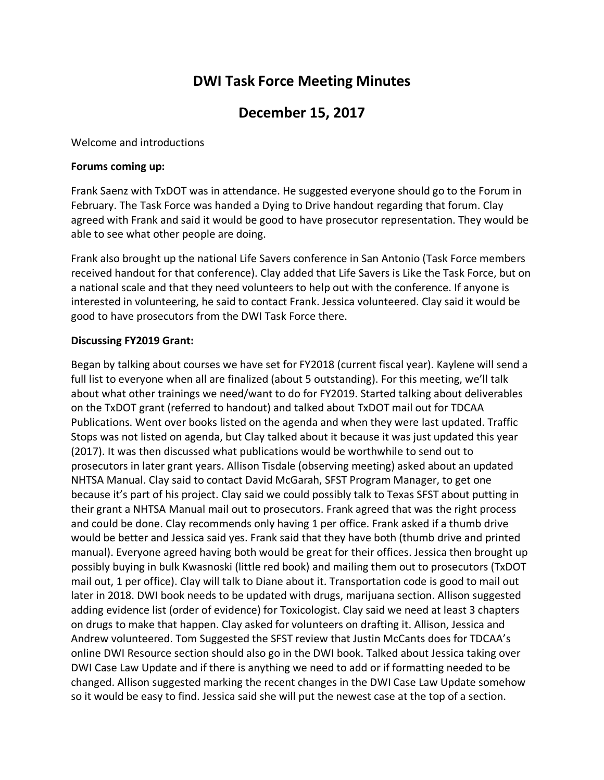# **DWI Task Force Meeting Minutes**

## **December 15, 2017**

Welcome and introductions

#### **Forums coming up:**

Frank Saenz with TxDOT was in attendance. He suggested everyone should go to the Forum in February. The Task Force was handed a Dying to Drive handout regarding that forum. Clay agreed with Frank and said it would be good to have prosecutor representation. They would be able to see what other people are doing.

Frank also brought up the national Life Savers conference in San Antonio (Task Force members received handout for that conference). Clay added that Life Savers is Like the Task Force, but on a national scale and that they need volunteers to help out with the conference. If anyone is interested in volunteering, he said to contact Frank. Jessica volunteered. Clay said it would be good to have prosecutors from the DWI Task Force there.

#### **Discussing FY2019 Grant:**

Began by talking about courses we have set for FY2018 (current fiscal year). Kaylene will send a full list to everyone when all are finalized (about 5 outstanding). For this meeting, we'll talk about what other trainings we need/want to do for FY2019. Started talking about deliverables on the TxDOT grant (referred to handout) and talked about TxDOT mail out for TDCAA Publications. Went over books listed on the agenda and when they were last updated. Traffic Stops was not listed on agenda, but Clay talked about it because it was just updated this year (2017). It was then discussed what publications would be worthwhile to send out to prosecutors in later grant years. Allison Tisdale (observing meeting) asked about an updated NHTSA Manual. Clay said to contact David McGarah, SFST Program Manager, to get one because it's part of his project. Clay said we could possibly talk to Texas SFST about putting in their grant a NHTSA Manual mail out to prosecutors. Frank agreed that was the right process and could be done. Clay recommends only having 1 per office. Frank asked if a thumb drive would be better and Jessica said yes. Frank said that they have both (thumb drive and printed manual). Everyone agreed having both would be great for their offices. Jessica then brought up possibly buying in bulk Kwasnoski (little red book) and mailing them out to prosecutors (TxDOT mail out, 1 per office). Clay will talk to Diane about it. Transportation code is good to mail out later in 2018. DWI book needs to be updated with drugs, marijuana section. Allison suggested adding evidence list (order of evidence) for Toxicologist. Clay said we need at least 3 chapters on drugs to make that happen. Clay asked for volunteers on drafting it. Allison, Jessica and Andrew volunteered. Tom Suggested the SFST review that Justin McCants does for TDCAA's online DWI Resource section should also go in the DWI book. Talked about Jessica taking over DWI Case Law Update and if there is anything we need to add or if formatting needed to be changed. Allison suggested marking the recent changes in the DWI Case Law Update somehow so it would be easy to find. Jessica said she will put the newest case at the top of a section.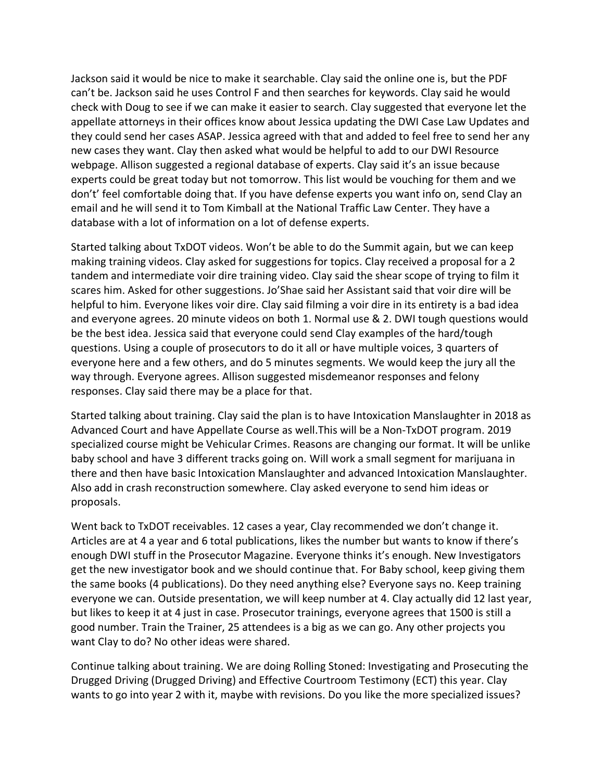Jackson said it would be nice to make it searchable. Clay said the online one is, but the PDF can't be. Jackson said he uses Control F and then searches for keywords. Clay said he would check with Doug to see if we can make it easier to search. Clay suggested that everyone let the appellate attorneys in their offices know about Jessica updating the DWI Case Law Updates and they could send her cases ASAP. Jessica agreed with that and added to feel free to send her any new cases they want. Clay then asked what would be helpful to add to our DWI Resource webpage. Allison suggested a regional database of experts. Clay said it's an issue because experts could be great today but not tomorrow. This list would be vouching for them and we don't' feel comfortable doing that. If you have defense experts you want info on, send Clay an email and he will send it to Tom Kimball at the National Traffic Law Center. They have a database with a lot of information on a lot of defense experts.

Started talking about TxDOT videos. Won't be able to do the Summit again, but we can keep making training videos. Clay asked for suggestions for topics. Clay received a proposal for a 2 tandem and intermediate voir dire training video. Clay said the shear scope of trying to film it scares him. Asked for other suggestions. Jo'Shae said her Assistant said that voir dire will be helpful to him. Everyone likes voir dire. Clay said filming a voir dire in its entirety is a bad idea and everyone agrees. 20 minute videos on both 1. Normal use & 2. DWI tough questions would be the best idea. Jessica said that everyone could send Clay examples of the hard/tough questions. Using a couple of prosecutors to do it all or have multiple voices, 3 quarters of everyone here and a few others, and do 5 minutes segments. We would keep the jury all the way through. Everyone agrees. Allison suggested misdemeanor responses and felony responses. Clay said there may be a place for that.

Started talking about training. Clay said the plan is to have Intoxication Manslaughter in 2018 as Advanced Court and have Appellate Course as well.This will be a Non-TxDOT program. 2019 specialized course might be Vehicular Crimes. Reasons are changing our format. It will be unlike baby school and have 3 different tracks going on. Will work a small segment for marijuana in there and then have basic Intoxication Manslaughter and advanced Intoxication Manslaughter. Also add in crash reconstruction somewhere. Clay asked everyone to send him ideas or proposals.

Went back to TxDOT receivables. 12 cases a year, Clay recommended we don't change it. Articles are at 4 a year and 6 total publications, likes the number but wants to know if there's enough DWI stuff in the Prosecutor Magazine. Everyone thinks it's enough. New Investigators get the new investigator book and we should continue that. For Baby school, keep giving them the same books (4 publications). Do they need anything else? Everyone says no. Keep training everyone we can. Outside presentation, we will keep number at 4. Clay actually did 12 last year, but likes to keep it at 4 just in case. Prosecutor trainings, everyone agrees that 1500 is still a good number. Train the Trainer, 25 attendees is a big as we can go. Any other projects you want Clay to do? No other ideas were shared.

Continue talking about training. We are doing Rolling Stoned: Investigating and Prosecuting the Drugged Driving (Drugged Driving) and Effective Courtroom Testimony (ECT) this year. Clay wants to go into year 2 with it, maybe with revisions. Do you like the more specialized issues?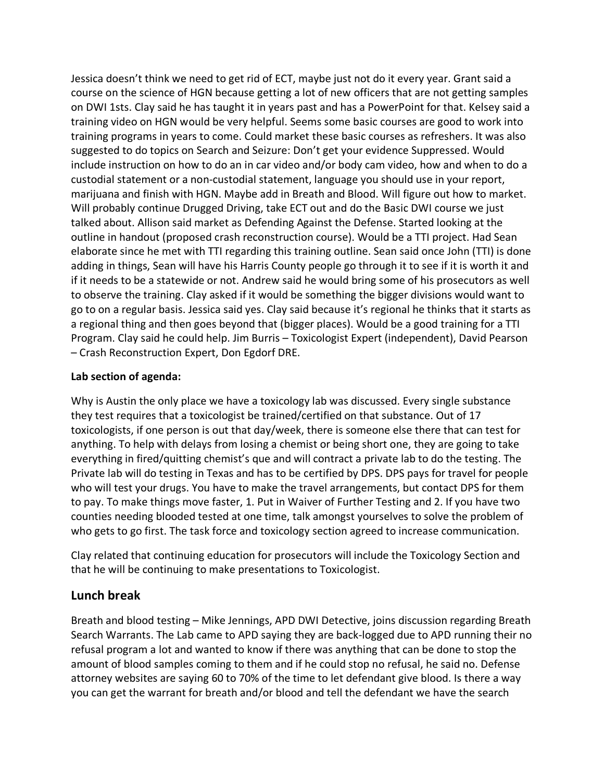Jessica doesn't think we need to get rid of ECT, maybe just not do it every year. Grant said a course on the science of HGN because getting a lot of new officers that are not getting samples on DWI 1sts. Clay said he has taught it in years past and has a PowerPoint for that. Kelsey said a training video on HGN would be very helpful. Seems some basic courses are good to work into training programs in years to come. Could market these basic courses as refreshers. It was also suggested to do topics on Search and Seizure: Don't get your evidence Suppressed. Would include instruction on how to do an in car video and/or body cam video, how and when to do a custodial statement or a non-custodial statement, language you should use in your report, marijuana and finish with HGN. Maybe add in Breath and Blood. Will figure out how to market. Will probably continue Drugged Driving, take ECT out and do the Basic DWI course we just talked about. Allison said market as Defending Against the Defense. Started looking at the outline in handout (proposed crash reconstruction course). Would be a TTI project. Had Sean elaborate since he met with TTI regarding this training outline. Sean said once John (TTI) is done adding in things, Sean will have his Harris County people go through it to see if it is worth it and if it needs to be a statewide or not. Andrew said he would bring some of his prosecutors as well to observe the training. Clay asked if it would be something the bigger divisions would want to go to on a regular basis. Jessica said yes. Clay said because it's regional he thinks that it starts as a regional thing and then goes beyond that (bigger places). Would be a good training for a TTI Program. Clay said he could help. Jim Burris – Toxicologist Expert (independent), David Pearson – Crash Reconstruction Expert, Don Egdorf DRE.

## **Lab section of agenda:**

Why is Austin the only place we have a toxicology lab was discussed. Every single substance they test requires that a toxicologist be trained/certified on that substance. Out of 17 toxicologists, if one person is out that day/week, there is someone else there that can test for anything. To help with delays from losing a chemist or being short one, they are going to take everything in fired/quitting chemist's que and will contract a private lab to do the testing. The Private lab will do testing in Texas and has to be certified by DPS. DPS pays for travel for people who will test your drugs. You have to make the travel arrangements, but contact DPS for them to pay. To make things move faster, 1. Put in Waiver of Further Testing and 2. If you have two counties needing blooded tested at one time, talk amongst yourselves to solve the problem of who gets to go first. The task force and toxicology section agreed to increase communication.

Clay related that continuing education for prosecutors will include the Toxicology Section and that he will be continuing to make presentations to Toxicologist.

## **Lunch break**

Breath and blood testing – Mike Jennings, APD DWI Detective, joins discussion regarding Breath Search Warrants. The Lab came to APD saying they are back-logged due to APD running their no refusal program a lot and wanted to know if there was anything that can be done to stop the amount of blood samples coming to them and if he could stop no refusal, he said no. Defense attorney websites are saying 60 to 70% of the time to let defendant give blood. Is there a way you can get the warrant for breath and/or blood and tell the defendant we have the search